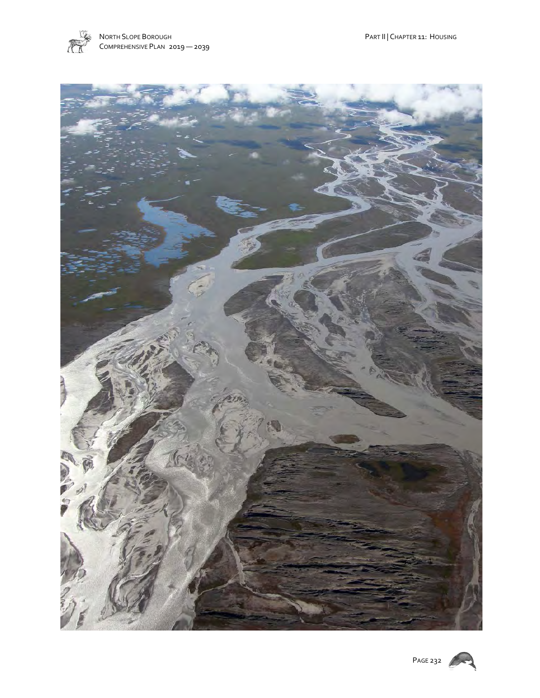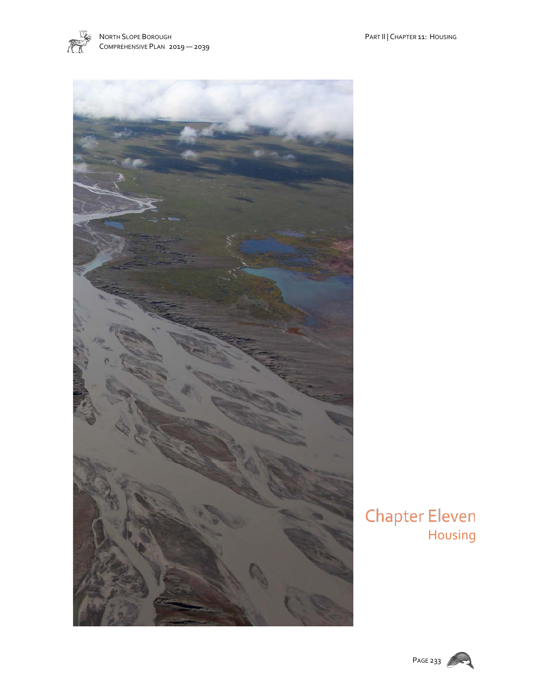



Chapter Eleven<br>Housing

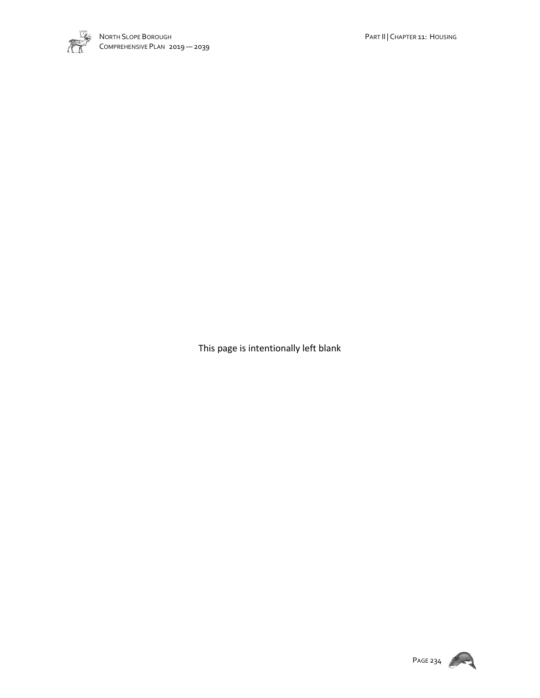

This page is intentionally left blank

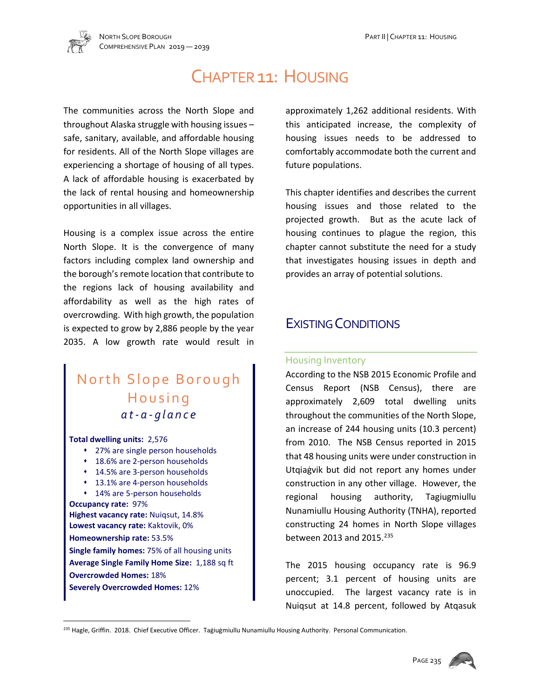

The communities across the North Slope and throughout Alaska struggle with housing issues – safe, sanitary, available, and affordable housing for residents. All of the North Slope villages are experiencing a shortage of housing of all types. A lack of affordable housing is exacerbated by the lack of rental housing and homeownership opportunities in all villages.

Housing is a complex issue across the entire North Slope. It is the convergence of many factors including complex land ownership and the borough's remote location that contribute to the regions lack of housing availability and affordability as well as the high rates of overcrowding. With high growth, the population is expected to grow by 2,886 people by the year 2035. A low growth rate would result in

# North Slope Borough Housing *a t- a - glance*

#### **Total dwelling units:** 2,576

- 27% are single person households
- 18.6% are 2-person households
- 14.5% are 3-person households
- 
- 13.1% are 4-person households 14% are 5-person households **Occupancy rate:** 97% **Highest vacancy rate:** Nuiqsut, 14.8% **Lowest vacancy rate:** Kaktovik, 0% **Homeownership rate:** 53.5% **Single family homes:** 75% of all housing units **Average Single Family Home Size:** 1,188 sq ft **Overcrowded Homes:** 18%
- **Severely Overcrowded Homes:** 12%

 $\overline{\phantom{a}}$ 

approximately 1,262 additional residents. With this anticipated increase, the complexity of housing issues needs to be addressed to comfortably accommodate both the current and future populations.

This chapter identifies and describes the current housing issues and those related to the projected growth. But as the acute lack of housing continues to plague the region, this chapter cannot substitute the need for a study that investigates housing issues in depth and provides an array of potential solutions.

## EXISTING CONDITIONS

#### Housing Inventory

According to the NSB 2015 Economic Profile and Census Report (NSB Census), there are approximately 2,609 total dwelling units throughout the communities of the North Slope, an increase of 244 housing units (10.3 percent) from 2010. The NSB Census reported in 2015 that 48 housing units were under construction in Utqiaġvik but did not report any homes under construction in any other village. However, the regional housing authority, Tagiugmiullu Nunamiullu Housing Authority (TNHA), reported constructing 24 homes in North Slope villages between 2013 and 2015.<sup>[235](#page-3-0)</sup>

The 2015 housing occupancy rate is 96.9 percent; 3.1 percent of housing units are unoccupied. The largest vacancy rate is in Nuiqsut at 14.8 percent, followed by Atqasuk

<span id="page-3-0"></span><sup>&</sup>lt;sup>235</sup> Hagle, Griffin. 2018. Chief Executive Officer. Taġiuġmiullu Nunamiullu Housing Authority. Personal Communication.

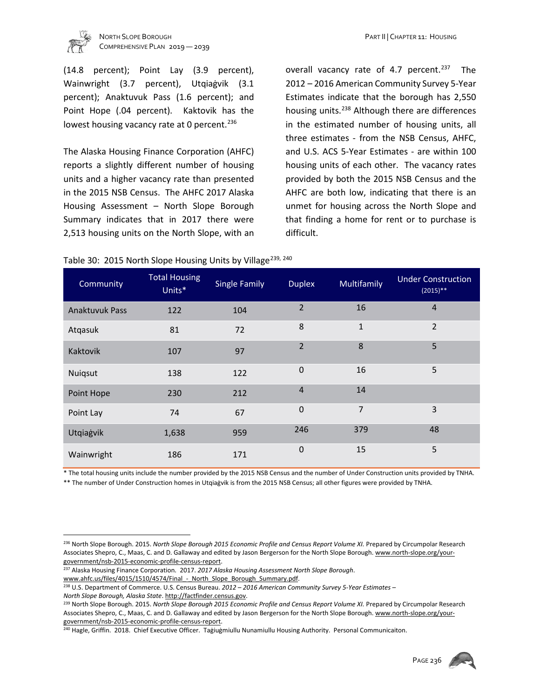

NORTH SLOPE BOROUGH **PART II | CHAPTER 11: HOUSING** COMPREHENSIVE PLAN 2019 — 2039

(14.8 percent); Point Lay (3.9 percent), Wainwright (3.7 percent), Utqiaġvik (3.1 percent); Anaktuvuk Pass (1.6 percent); and Point Hope (.04 percent). Kaktovik has the lowest housing vacancy rate at 0 percent.<sup>[236](#page-4-0)</sup>

The Alaska Housing Finance Corporation (AHFC) reports a slightly different number of housing units and a higher vacancy rate than presented in the 2015 NSB Census. The AHFC 2017 Alaska Housing Assessment – North Slope Borough Summary indicates that in 2017 there were 2,513 housing units on the North Slope, with an

overall vacancy rate of 4.7 percent.<sup>237</sup> The 2012 – 2016 American Community Survey 5-Year Estimates indicate that the borough has 2,550 housing units.<sup>238</sup> Although there are differences in the estimated number of housing units, all three estimates - from the NSB Census, AHFC, and U.S. ACS 5-Year Estimates - are within 100 housing units of each other. The vacancy rates provided by both the 2015 NSB Census and the AHFC are both low, indicating that there is an unmet for housing across the North Slope and that finding a home for rent or to purchase is difficult.

#### Table 30: 2015 North Slope Housing Units by Village<sup>[239](#page-4-3), [240](#page-4-4)</sup>

| Community             | <b>Total Housing</b><br>Units* | <b>Single Family</b> | <b>Duplex</b>  | Multifamily    | <b>Under Construction</b><br>$(2015)$ ** |
|-----------------------|--------------------------------|----------------------|----------------|----------------|------------------------------------------|
| <b>Anaktuvuk Pass</b> | 122                            | 104                  | $\overline{2}$ | 16             | $\overline{4}$                           |
| Atgasuk               | 81                             | 72                   | 8              | $\mathbf{1}$   | $\overline{2}$                           |
| Kaktovik              | 107                            | 97                   | $\overline{2}$ | 8              | 5                                        |
| Nuigsut               | 138                            | 122                  | 0              | 16             | 5                                        |
| Point Hope            | 230                            | 212                  | $\overline{4}$ | 14             |                                          |
| Point Lay             | 74                             | 67                   | 0              | $\overline{7}$ | 3                                        |
| Utqiagvik             | 1,638                          | 959                  | 246            | 379            | 48                                       |
| Wainwright            | 186                            | 171                  | 0              | 15             | 5                                        |

\* The total housing units include the number provided by the 2015 NSB Census and the number of Under Construction units provided by TNHA.

\*\* The number of Under Construction homes in Utqiaġvik is from the 2015 NSB Census; all other figures were provided by TNHA.

l

<span id="page-4-4"></span>

<span id="page-4-0"></span><sup>&</sup>lt;sup>236</sup> North Slope Borough. 2015. North Slope Borough 2015 Economic Profile and Census Report Volume XI. Prepared by Circumpolar Research Associates Shepro, C., Maas, C. and D. Gallaway and edited by Jason Bergerson for the North Slope Borough. www.north-slope.org/yourgovernment/nsb-2015-economic-profile-census-report.<br><sup>237</sup> Alaska Housing Finance Corporation. 2017. 2017 Alaska Housing Assessment North Slope Borough.

<span id="page-4-1"></span>

<span id="page-4-2"></span>www.ahfc.us/files/4015/1510/4574/Final - North Slope Borough Summary.pdf. 238 U.S. Department of Commerce. U.S. Census Bureau. *238 U.S. Department of Commerce. U.S. Census Bureau. 2012 – 2016 American Community Survey 5-Y* 

<span id="page-4-3"></span>*North Slope Borough, Alaska State*. http://factfinder.census.gov.<br><sup>239</sup> North Slope Borough. 2015. *North Slope Borough 2015 Economic Profile and Census Report Volume XI. Prepared by Circumpolar Research* Associates Shepro, C., Maas, C. and D. Gallaway and edited by Jason Bergerson for the North Slope Borough. www.north-slope.org/yourgovernment/nsb-2015-economic-profile-census-report.<br><sup>240</sup> Hagle, Griffin. 2018. Chief Executive Officer. Taġiuġmiullu Nunamiullu Housing Authority. Personal Communicaiton.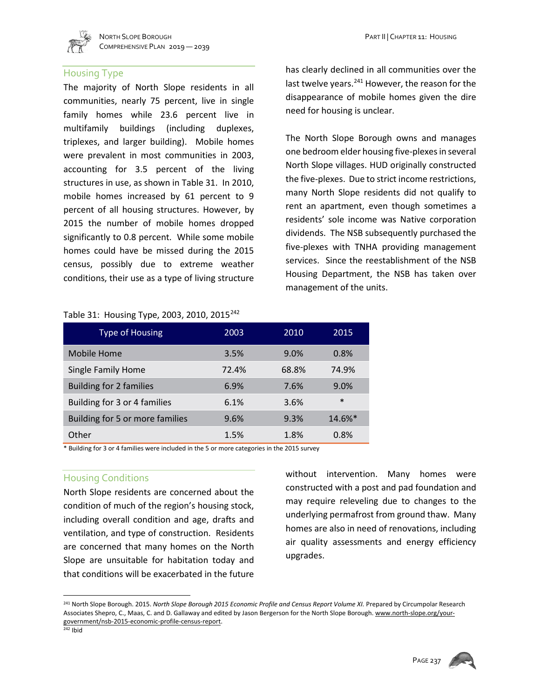

#### Housing Type

The majority of North Slope residents in all communities, nearly 75 percent, live in single family homes while 23.6 percent live in multifamily buildings (including duplexes, triplexes, and larger building). Mobile homes were prevalent in most communities in 2003, accounting for 3.5 percent of the living structures in use, as shown in Table 31. In 2010, mobile homes increased by 61 percent to 9 percent of all housing structures. However, by 2015 the number of mobile homes dropped significantly to 0.8 percent. While some mobile homes could have be missed during the 2015 census, possibly due to extreme weather conditions, their use as a type of living structure

### Table 31: Housing Type, 2003, 2010, 2015[242](#page-5-1)

| <b>Type of Housing</b>          | 2003  | 2010  | 2015   |
|---------------------------------|-------|-------|--------|
| <b>Mobile Home</b>              | 3.5%  | 9.0%  | 0.8%   |
| <b>Single Family Home</b>       | 72.4% | 68.8% | 74.9%  |
| <b>Building for 2 families</b>  | 6.9%  | 7.6%  | 9.0%   |
| Building for 3 or 4 families    | 6.1%  | 3.6%  | $\ast$ |
| Building for 5 or more families | 9.6%  | 9.3%  | 14.6%* |
| Other                           | 1.5%  | 1.8%  | 0.8%   |

\* Building for 3 or 4 families were included in the 5 or more categories in the 2015 survey

#### Housing Conditions

North Slope residents are concerned about the condition of much of the region's housing stock, including overall condition and age, drafts and ventilation, and type of construction. Residents are concerned that many homes on the North Slope are unsuitable for habitation today and that conditions will be exacerbated in the future without intervention. Many homes were constructed with a post and pad foundation and may require releveling due to changes to the underlying permafrost from ground thaw. Many homes are also in need of renovations, including air quality assessments and energy efficiency upgrades.

has clearly declined in all communities over the last twelve years.<sup>[241](#page-5-0)</sup> However, the reason for the disappearance of mobile homes given the dire need for housing is unclear.

The North Slope Borough owns and manages one bedroom elder housing five-plexes in several North Slope villages. HUD originally constructed the five-plexes. Due to strict income restrictions, many North Slope residents did not qualify to rent an apartment, even though sometimes a residents' sole income was Native corporation dividends. The NSB subsequently purchased the five-plexes with TNHA providing management services. Since the reestablishment of the NSB Housing Department, the NSB has taken over management of the units.



 $\overline{\phantom{a}}$ 

<span id="page-5-1"></span><span id="page-5-0"></span><sup>&</sup>lt;sup>241</sup> North Slope Borough. 2015. North Slope Borough 2015 Economic Profile and Census Report Volume XI. Prepared by Circumpolar Research Associates Shepro, C., Maas, C. and D. Gallaway and edited by Jason Bergerson for the North Slope Borough. www.north-slope.org/yourgovernment/nsb-2015-economic-profile-census-report. 242 Ibid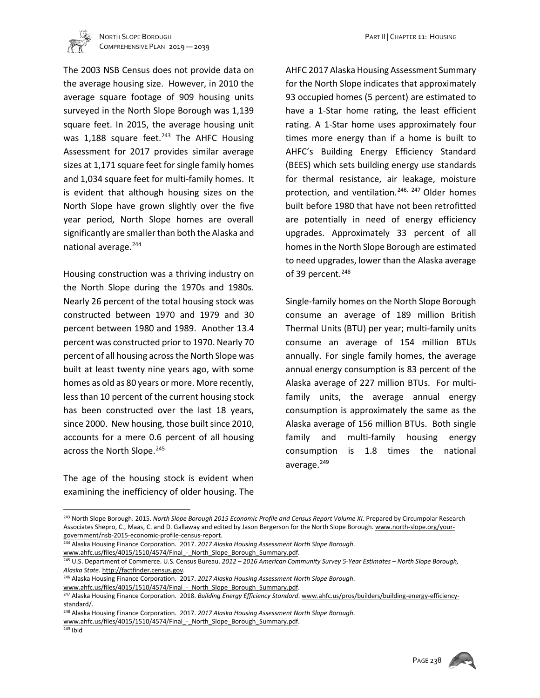

The 2003 NSB Census does not provide data on the average housing size. However, in 2010 the average square footage of 909 housing units surveyed in the North Slope Borough was 1,139 square feet. In 2015, the average housing unit was 1,188 square feet.<sup>[243](#page-6-0)</sup> The AHFC Housing Assessment for 2017 provides similar average sizes at 1,171 square feet for single family homes and 1,034 square feet for multi-family homes. It is evident that although housing sizes on the North Slope have grown slightly over the five year period, North Slope homes are overall significantly are smaller than both the Alaska and national average.[244](#page-6-1)

Housing construction was a thriving industry on the North Slope during the 1970s and 1980s. Nearly 26 percent of the total housing stock was constructed between 1970 and 1979 and 30 percent between 1980 and 1989. Another 13.4 percent was constructed prior to 1970. Nearly 70 percent of all housing across the North Slope was built at least twenty nine years ago, with some homes as old as 80 years or more. More recently, less than 10 percent of the current housing stock has been constructed over the last 18 years, since 2000. New housing, those built since 2010, accounts for a mere 0.6 percent of all housing across the North Slope.<sup>[245](#page-6-2)</sup>

The age of the housing stock is evident when examining the inefficiency of older housing. The

AHFC 2017 Alaska Housing Assessment Summary for the North Slope indicates that approximately 93 occupied homes (5 percent) are estimated to have a 1-Star home rating, the least efficient rating. A 1-Star home uses approximately four times more energy than if a home is built to AHFC's Building Energy Efficiency Standard (BEES) which sets building energy use standards for thermal resistance, air leakage, moisture protection, and ventilation.<sup>[246](#page-6-3), [247](#page-6-4)</sup> Older homes built before 1980 that have not been retrofitted are potentially in need of energy efficiency upgrades. Approximately 33 percent of all homes in the North Slope Borough are estimated to need upgrades, lower than the Alaska average of 39 percent.<sup>248</sup>

Single-family homes on the North Slope Borough consume an average of 189 million British Thermal Units (BTU) per year; multi-family units consume an average of 154 million BTUs annually. For single family homes, the average annual energy consumption is 83 percent of the Alaska average of 227 million BTUs. For multifamily units, the average annual energy consumption is approximately the same as the Alaska average of 156 million BTUs. Both single family and multi-family housing energy consumption is 1.8 times the national average.<sup>[249](#page-6-6)</sup>

l



<span id="page-6-0"></span><sup>&</sup>lt;sup>243</sup> North Slope Borough. 2015. North Slope Borough 2015 Economic Profile and Census Report Volume XI. Prepared by Circumpolar Research Associates Shepro, C., Maas, C. and D. Gallaway and edited by Jason Bergerson for the North Slope Borough. www.north-slope.org/your-government/nsb-2015-economic-profile-census-report.

<span id="page-6-1"></span><sup>&</sup>lt;sup>244</sup> Alaska Housing Finance Corporation. 2017. 2017 Alaska Housing Assessment North Slope Borough.<br>www.ahfc.us/files/4015/1510/4574/Final - North Slope Borough Summary.pdf.

<span id="page-6-2"></span><sup>&</sup>lt;sup>245</sup> U.S. Department of Commerce. U.S. Census Bureau. 2012 – 2016 American Community Survey 5-Year Estimates – North Slope Borough,

<span id="page-6-3"></span>Alaska State. http://factfinder.census.gov.<br><sup>246</sup> Alaska Housing Finance Corporation. 2017. 2017 Alaska Housing Assessment North Slope Borough.<br>www.ahfc.us/files/4015/1510/4574/Final - North Slope Borough Summary.pdf.

<span id="page-6-4"></span><sup>&</sup>lt;sup>247</sup> Alaska Housing Finance Corporation. 2018. Building Energy Efficiency Standard. www.ahfc.us/pros/builders/building-energy-efficiencystandard/.<br><sup>248</sup> Alaska Housing Finance Corporation. 2017. *2017 Alaska Housing Assessment North Slope Borough*.

<span id="page-6-5"></span>

<span id="page-6-6"></span>www.ahfc.us/files/4015/1510/4574/Final - North Slope Borough Summary.pdf.<br><sup>249</sup> Ibid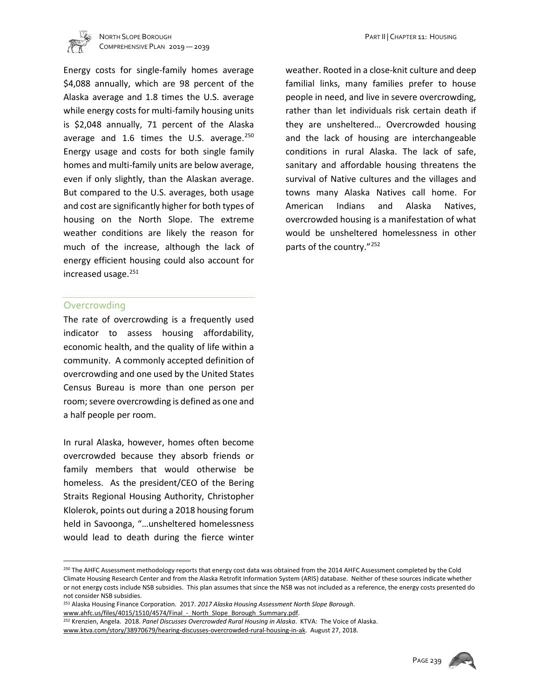

Energy costs for single-family homes average \$4,088 annually, which are 98 percent of the Alaska average and 1.8 times the U.S. average while energy costs for multi-family housing units is \$2,048 annually, 71 percent of the Alaska average and 1.6 times the U.S. average.<sup>[250](#page-7-0)</sup> Energy usage and costs for both single family homes and multi-family units are below average, even if only slightly, than the Alaskan average. But compared to the U.S. averages, both usage and cost are significantly higher for both types of housing on the North Slope. The extreme weather conditions are likely the reason for much of the increase, although the lack of energy efficient housing could also account for increased usage.<sup>[251](#page-7-1)</sup>

#### **Overcrowding**

 $\overline{\phantom{a}}$ 

The rate of overcrowding is a frequently used indicator to assess housing affordability, economic health, and the quality of life within a community. A commonly accepted definition of overcrowding and one used by the United States Census Bureau is more than one person per room; severe overcrowding is defined as one and a half people per room.

In rural Alaska, however, homes often become overcrowded because they absorb friends or family members that would otherwise be homeless. As the president/CEO of the Bering Straits Regional Housing Authority, Christopher Klolerok, points out during a 2018 housing forum held in Savoonga, "…unsheltered homelessness would lead to death during the fierce winter

weather. Rooted in a close-knit culture and deep familial links, many families prefer to house people in need, and live in severe overcrowding, rather than let individuals risk certain death if they are unsheltered… Overcrowded housing and the lack of housing are interchangeable conditions in rural Alaska. The lack of safe, sanitary and affordable housing threatens the survival of Native cultures and the villages and towns many Alaska Natives call home. For American Indians and Alaska Natives, overcrowded housing is a manifestation of what would be unsheltered homelessness in other parts of the country."[252](#page-7-2)

<span id="page-7-2"></span>



<span id="page-7-0"></span><sup>&</sup>lt;sup>250</sup> The AHFC Assessment methodology reports that energy cost data was obtained from the 2014 AHFC Assessment completed by the Cold Climate Housing Research Center and from the Alaska Retrofit Information System (ARIS) database. Neither of these sources indicate whether or not energy costs include NSB subsidies. This plan assumes that since the NSB was not included as a reference, the energy costs presented do not consider NSB subsidies.

<span id="page-7-1"></span><sup>251</sup> Alaska Housing Finance Corporation. 2017. *2017 Alaska Housing Assessment North Slope Borough*. www.ahfc.us/files/4015/1510/4574/Final - North\_Slope\_Borough\_Summary.pdf. 252 Krenzien, Angela. 2018. *Panel Discusses Overcrowded Rural Housing in Alaska.* KTVA: The Voice of Alaska.

[www.ktva.com/story/38970679/hearing-discusses-overcrowded-rural-housing-in-ak.](http://www.ktva.com/story/38970679/hearing-discusses-overcrowded-rural-housing-in-ak) August 27, 2018.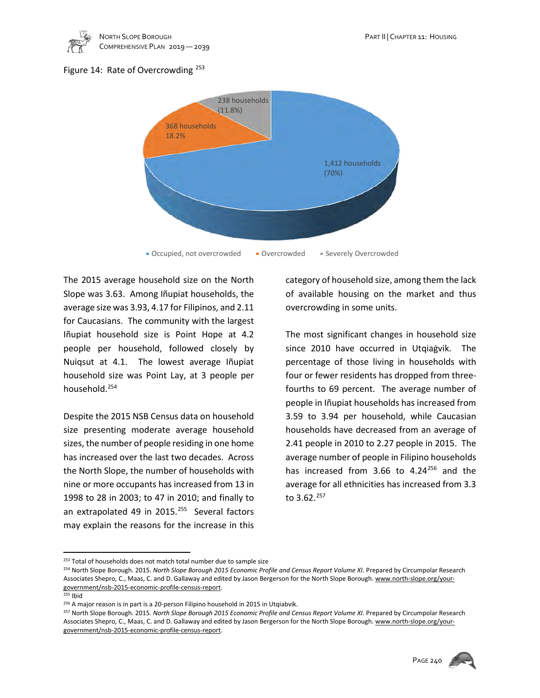

#### Figure 14: Rate of Overcrowding [253](#page-8-0)



■ Occupied, not overcrowded ■ Overcrowded ■ Severely Overcrowded

The 2015 average household size on the North Slope was 3.63. Among Iñupiat households, the average size was 3.93, 4.17 for Filipinos, and 2.11 for Caucasians. The community with the largest Iñupiat household size is Point Hope at 4.2 people per household, followed closely by Nuiqsut at 4.1. The lowest average Iñupiat household size was Point Lay, at 3 people per household.[254](#page-8-1) 

Despite the 2015 NSB Census data on household size presenting moderate average household sizes, the number of people residing in one home has increased over the last two decades. Across the North Slope, the number of households with nine or more occupants has increased from 13 in 1998 to 28 in 2003; to 47 in 2010; and finally to an extrapolated 49 in 2015.<sup>[255](#page-8-2)</sup> Several factors may explain the reasons for the increase in this category of household size, among them the lack of available housing on the market and thus overcrowding in some units.

The most significant changes in household size since 2010 have occurred in Utqiaġvik. The percentage of those living in households with four or fewer residents has dropped from threefourths to 69 percent. The average number of people in Iñupiat households has increased from 3.59 to 3.94 per household, while Caucasian households have decreased from an average of 2.41 people in 2010 to 2.27 people in 2015. The average number of people in Filipino households has increased from  $3.66$  to  $4.24^{256}$  $4.24^{256}$  $4.24^{256}$  and the average for all ethnicities has increased from 3.3 to 3.62.<sup>[257](#page-8-4)</sup>

 $\overline{\phantom{a}}$ 

<span id="page-8-4"></span><sup>257</sup> North Slope Borough. 2015. *North Slope Borough 2015 Economic Profile and Census Report Volume XI.* Prepared by Circumpolar Research Associates Shepro, C., Maas, C. and D. Gallaway and edited by Jason Bergerson for the North Slope Borough. www.north-slope.org/yourgovernment/nsb-2015-economic-profile-census-report.



<span id="page-8-0"></span><sup>&</sup>lt;sup>253</sup> Total of households does not match total number due to sample size

<span id="page-8-1"></span><sup>&</sup>lt;sup>254</sup> North Slope Borough. 2015. North Slope Borough 2015 Economic Profile and Census Report Volume XI. Prepared by Circumpolar Research Associates Shepro, C., Maas, C. and D. Gallaway and edited by Jason Bergerson for the North Slope Borough. www.north-slope.org/yourgovernment/nsb-2015-economic-profile-census-report. 255 Ibid

<span id="page-8-2"></span>

<span id="page-8-3"></span><sup>&</sup>lt;sup>256</sup> A major reason is in part is a 20-person Filipino household in 2015 in Utqiabvik.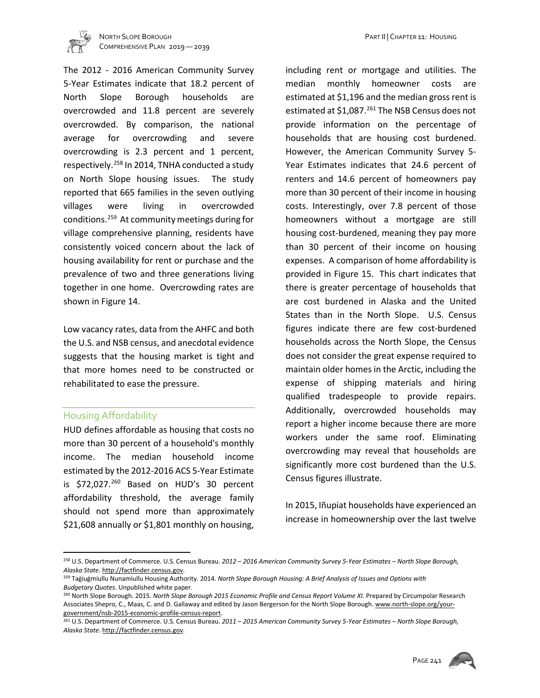

The 2012 - 2016 American Community Survey 5-Year Estimates indicate that 18.2 percent of North Slope Borough households are overcrowded and 11.8 percent are severely overcrowded. By comparison, the national average for overcrowding and severe overcrowding is 2.3 percent and 1 percent, respectively.[258](#page-9-0) In 2014, TNHA conducted a study on North Slope housing issues. The study reported that 665 families in the seven outlying villages were living in overcrowded conditions.[259](#page-9-1) At community meetings during for village comprehensive planning, residents have consistently voiced concern about the lack of housing availability for rent or purchase and the prevalence of two and three generations living together in one home. Overcrowding rates are shown in Figure 14.

Low vacancy rates, data from the AHFC and both the U.S. and NSB census, and anecdotal evidence suggests that the housing market is tight and that more homes need to be constructed or rehabilitated to ease the pressure.

#### Housing Affordability

 $\overline{\phantom{a}}$ 

HUD defines affordable as housing that costs no more than 30 percent of a household's monthly income. The median household income estimated by the 2012-2016 ACS 5-Year Estimate is \$72,027.<sup>[260](#page-9-2)</sup> Based on HUD's 30 percent affordability threshold, the average family should not spend more than approximately \$21,608 annually or \$1,801 monthly on housing,

including rent or mortgage and utilities. The median monthly homeowner costs are estimated at \$1,196 and the median gross rent is estimated at \$1,087.<sup>[261](#page-9-3)</sup> The NSB Census does not provide information on the percentage of households that are housing cost burdened. However, the American Community Survey 5- Year Estimates indicates that 24.6 percent of renters and 14.6 percent of homeowners pay more than 30 percent of their income in housing costs. Interestingly, over 7.8 percent of those homeowners without a mortgage are still housing cost-burdened, meaning they pay more than 30 percent of their income on housing expenses. A comparison of home affordability is provided in Figure 15. This chart indicates that there is greater percentage of households that are cost burdened in Alaska and the United States than in the North Slope. U.S. Census figures indicate there are few cost-burdened households across the North Slope, the Census does not consider the great expense required to maintain older homes in the Arctic, including the expense of shipping materials and hiring qualified tradespeople to provide repairs. Additionally, overcrowded households may report a higher income because there are more workers under the same roof. Eliminating overcrowding may reveal that households are significantly more cost burdened than the U.S. Census figures illustrate.

In 2015, Iñupiat households have experienced an increase in homeownership over the last twelve

<span id="page-9-3"></span>government/nsb-2015-economic-profile-census-report.<br><sup>261</sup> U.S. Department of Commerce. U.S. Census Bureau. 2011 – 2015 American Community Survey 5-Year Estimates – North Slope Borough, *Alaska State*. http://factfinder.census.gov.



<span id="page-9-0"></span><sup>258</sup> U.S. Department of Commerce. U.S. Census Bureau. *2012 – 2016 American Community Survey 5-Year Estimates – North Slope Borough, Alaska State*. http://factfinder.census.gov. 259 Taġiuġmiullu Nunamiullu Housing Authority. 2014. *North Slope Borough Housing: A Brief Analysis of Issues and Options with*

<span id="page-9-1"></span>*Budgetary Quotes*. Unpublished white paper.

<span id="page-9-2"></span><sup>&</sup>lt;sup>260</sup> North Slope Borough. 2015. North Slope Borough 2015 Economic Profile and Census Report Volume XI. Prepared by Circumpolar Research Associates Shepro, C., Maas, C. and D. Gallaway and edited by Jason Bergerson for the North Slope Borough. www.north-slope.org/your-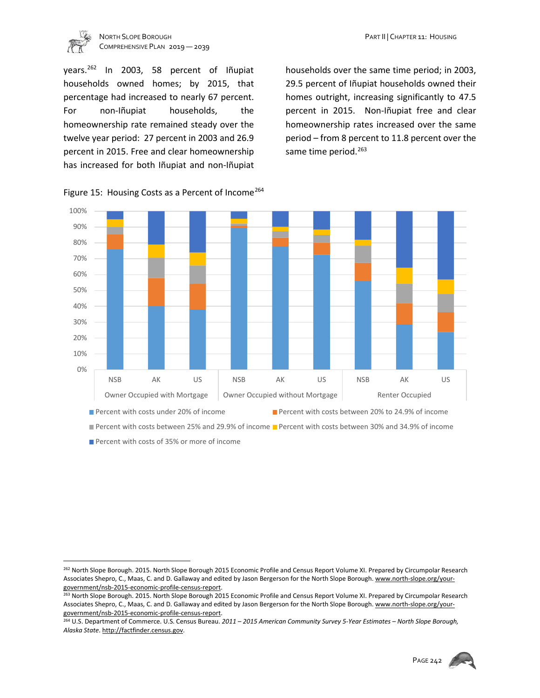

 $\overline{\phantom{a}}$ 

years. [262](#page-10-0) In 2003, 58 percent of Iñupiat households owned homes; by 2015, that percentage had increased to nearly 67 percent. For non-Iñupiat households, the homeownership rate remained steady over the twelve year period: 27 percent in 2003 and 26.9 percent in 2015. Free and clear homeownership has increased for both Iñupiat and non-Iñupiat

households over the same time period; in 2003, 29.5 percent of Iñupiat households owned their homes outright, increasing significantly to 47.5 percent in 2015. Non-Iñupiat free and clear homeownership rates increased over the same period – from 8 percent to 11.8 percent over the same time period.<sup>[263](#page-10-1)</sup>





Percent with costs of 35% or more of income

<span id="page-10-0"></span><sup>262</sup> North Slope Borough. 2015. North Slope Borough 2015 Economic Profile and Census Report Volume XI. Prepared by Circumpolar Research Associates Shepro, C., Maas, C. and D. Gallaway and edited by Jason Bergerson for the North Slope Borough. www.north-slope.org/yourgovernment/nsb-2015-economic-profile-census-report.<br><sup>263</sup> North Slope Borough. 2015. North Slope Borough 2015 Economic Profile and Census Report Volume XI. Prepared by Circumpolar Research

<span id="page-10-1"></span>Associates Shepro, C., Maas, C. and D. Gallaway and edited by Jason Bergerson for the North Slope Borough. www.north-slope.org/yourgovernment/nsb-2015-economic-profile-census-report.<br><sup>264</sup> U.S. Department of Commerce. U.S. Census Bureau. 2011 – 2015 American Community Survey 5-Year Estimates – North Slope Borough,

<span id="page-10-2"></span>*Alaska State*. http://factfinder.census.gov.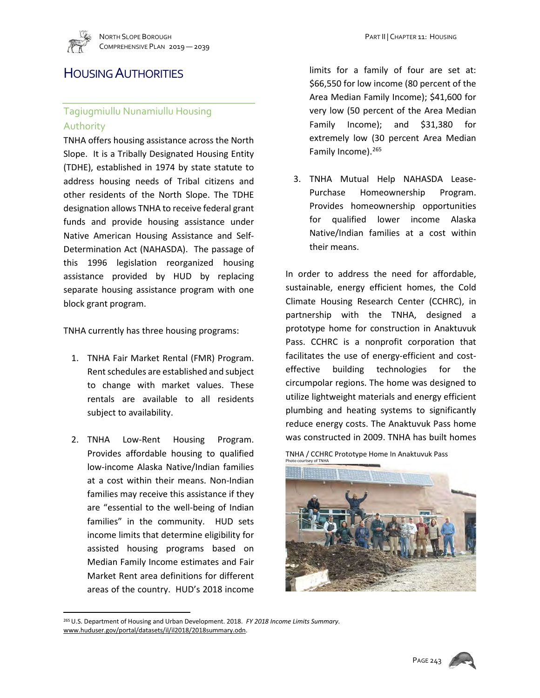

## HOUSING AUTHORITIES

### Tagiugmiullu Nunamiullu Housing Authority

TNHA offers housing assistance across the North Slope. It is a Tribally Designated Housing Entity (TDHE), established in 1974 by state statute to address housing needs of Tribal citizens and other residents of the North Slope. The TDHE designation allows TNHA to receive federal grant funds and provide housing assistance under Native American Housing Assistance and Self-Determination Act (NAHASDA). The passage of this 1996 legislation reorganized housing assistance provided by HUD by replacing separate housing assistance program with one block grant program.

TNHA currently has three housing programs:

- 1. TNHA Fair Market Rental (FMR) Program. Rent schedules are established and subject to change with market values. These rentals are available to all residents subject to availability.
- 2. TNHA Low-Rent Housing Program. Provides affordable housing to qualified low-income Alaska Native/Indian families at a cost within their means. Non-Indian families may receive this assistance if they are "essential to the well-being of Indian families" in the community. HUD sets income limits that determine eligibility for assisted housing programs based on Median Family Income estimates and Fair Market Rent area definitions for different areas of the country. HUD's 2018 income

<span id="page-11-0"></span> $\overline{\phantom{a}}$ 

limits for a family of four are set at: \$66,550 for low income (80 percent of the Area Median Family Income); \$41,600 for very low (50 percent of the Area Median Family Income); and \$31,380 for extremely low (30 percent Area Median Family Income). [265](#page-11-0)

3. TNHA Mutual Help NAHASDA Lease-Purchase Homeownership Program. Provides homeownership opportunities for qualified lower income Alaska Native/Indian families at a cost within their means.

In order to address the need for affordable, sustainable, energy efficient homes, the Cold Climate Housing Research Center (CCHRC), in partnership with the TNHA, designed a prototype home for construction in Anaktuvuk Pass. CCHRC is a nonprofit corporation that facilitates the use of energy-efficient and costeffective building technologies for the circumpolar regions. The home was designed to utilize lightweight materials and energy efficient plumbing and heating systems to significantly reduce energy costs. The Anaktuvuk Pass home was constructed in 2009. TNHA has built homes

TNHA / CCHRC Prototype Home In Anaktuvuk Pass hoto courtsey of TNHA



<sup>265</sup>U.S. Department of Housing and Urban Development. 2018. *FY 2018 Income Limits Summary.*  www.huduser.gov/portal/datasets/il/il2018/2018summary.odn.

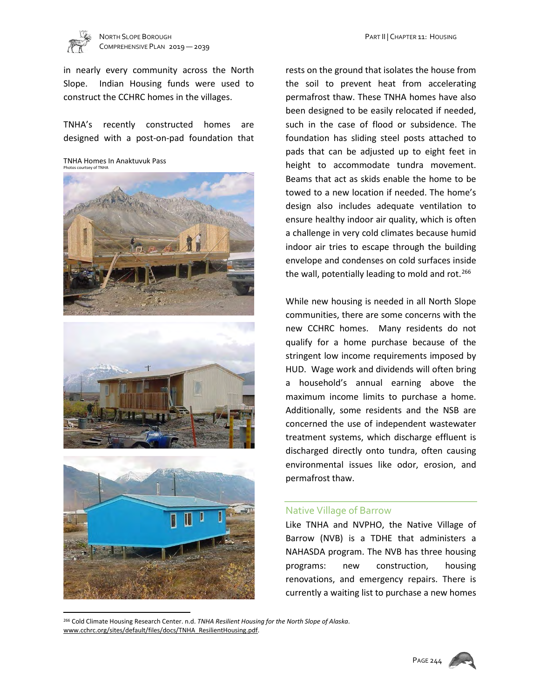

in nearly every community across the North Slope. Indian Housing funds were used to construct the CCHRC homes in the villages.

TNHA's recently constructed homes are designed with a post-on-pad foundation that

TNHA Homes In Anaktuvuk Pass Photos courtsey of TNH







 $\overline{\phantom{a}}$ 

rests on the ground that isolates the house from the soil to prevent heat from accelerating permafrost thaw. These TNHA homes have also been designed to be easily relocated if needed, such in the case of flood or subsidence. The foundation has sliding steel posts attached to pads that can be adjusted up to eight feet in height to accommodate tundra movement. Beams that act as skids enable the home to be towed to a new location if needed. The home's design also includes adequate ventilation to ensure healthy indoor air quality, which is often a challenge in very cold climates because humid indoor air tries to escape through the building envelope and condenses on cold surfaces inside the wall, potentially leading to mold and rot.  $266$ 

While new housing is needed in all North Slope communities, there are some concerns with the new CCHRC homes. Many residents do not qualify for a home purchase because of the stringent low income requirements imposed by HUD. Wage work and dividends will often bring a household's annual earning above the maximum income limits to purchase a home. Additionally, some residents and the NSB are concerned the use of independent wastewater treatment systems, which discharge effluent is discharged directly onto tundra, often causing environmental issues like odor, erosion, and permafrost thaw.

#### Native Village of Barrow

Like TNHA and NVPHO, the Native Village of Barrow (NVB) is a TDHE that administers a NAHASDA program. The NVB has three housing programs: new construction, housing renovations, and emergency repairs. There is currently a waiting list to purchase a new homes

<span id="page-12-0"></span><sup>266</sup> Cold Climate Housing Research Center. n.d. *TNHA Resilient Housing for the North Slope of Alaska*. www.cchrc.org/sites/default/files/docs/TNHA\_ResilientHousing.pdf.

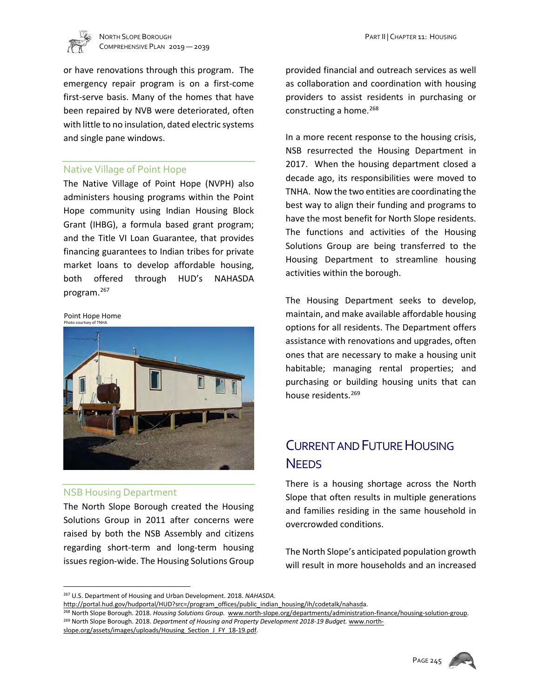

NORTH SLOPE BOROUGH **PART II | CHAPTER 11: HOUSING** COMPREHENSIVE PLAN 2019 — 2039

or have renovations through this program. The emergency repair program is on a first-come first-serve basis. Many of the homes that have been repaired by NVB were deteriorated, often with little to no insulation, dated electric systems and single pane windows.

#### Native Village of Point Hope

The Native Village of Point Hope (NVPH) also administers housing programs within the Point Hope community using Indian Housing Block Grant (IHBG), a formula based grant program; and the Title VI Loan Guarantee, that provides financing guarantees to Indian tribes for private market loans to develop affordable housing, both offered through HUD's NAHASDA program. [267](#page-13-0)

Point Hope Home



#### NSB Housing Department

 $\overline{\phantom{a}}$ 

The North Slope Borough created the Housing Solutions Group in 2011 after concerns were raised by both the NSB Assembly and citizens regarding short-term and long-term housing issues region-wide. The Housing Solutions Group provided financial and outreach services as well as collaboration and coordination with housing providers to assist residents in purchasing or constructing a home. $268$ 

In a more recent response to the housing crisis, NSB resurrected the Housing Department in 2017. When the housing department closed a decade ago, its responsibilities were moved to TNHA. Now the two entities are coordinating the best way to align their funding and programs to have the most benefit for North Slope residents. The functions and activities of the Housing Solutions Group are being transferred to the Housing Department to streamline housing activities within the borough.

The Housing Department seeks to develop, maintain, and make available affordable housing options for all residents. The Department offers assistance with renovations and upgrades, often ones that are necessary to make a housing unit habitable; managing rental properties; and purchasing or building housing units that can house residents.<sup>[269](#page-13-2)</sup>

## CURRENT AND FUTURE HOUSING **NEEDS**

There is a housing shortage across the North Slope that often results in multiple generations and families residing in the same household in overcrowded conditions.

The North Slope's anticipated population growth will result in more households and an increased



<sup>267</sup> U.S. Department of Housing and Urban Development. 2018. *NAHASDA*.

<span id="page-13-1"></span>

<span id="page-13-0"></span>http://portal.hud.gov/hudportal/HUD?src=/program\_offices/public\_indian\_housing/ih/codetalk/nahasda.<br><sup>268</sup> North Slope Borough. 2018. *Housing Solutions Group.* www.north-slope.org/departments/administration-finance/housing

<span id="page-13-2"></span>slope.org/assets/images/uploads/Housing\_Section\_J\_FY\_18-19.pdf.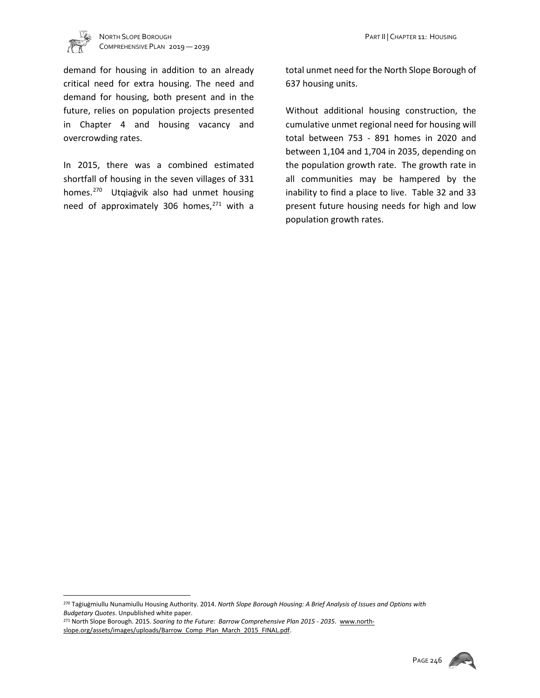

 $\overline{\phantom{a}}$ 

demand for housing in addition to an already critical need for extra housing. The need and demand for housing, both present and in the future, relies on population projects presented in Chapter 4 and housing vacancy and overcrowding rates.

In 2015, there was a combined estimated shortfall of housing in the seven villages of 331 homes[.270](#page-14-0) Utqiaġvik also had unmet housing need of approximately 306 homes, [271](#page-14-1) with a

total unmet need for the North Slope Borough of 637 housing units.

Without additional housing construction, the cumulative unmet regional need for housing will total between 753 - 891 homes in 2020 and between 1,104 and 1,704 in 2035, depending on the population growth rate. The growth rate in all communities may be hampered by the inability to find a place to live. Table 32 and 33 present future housing needs for high and low population growth rates.



<span id="page-14-0"></span><sup>270</sup> Taġiuġmiullu Nunamiullu Housing Authority. 2014. *North Slope Borough Housing: A Brief Analysis of Issues and Options with Budgetary Quotes*. Unpublished white paper.

<span id="page-14-1"></span><sup>271</sup> North Slope Borough. 2015. *Soaring to the Future: Barrow Comprehensive Plan 2015 - 2035*. www.northslope.org/assets/images/uploads/Barrow\_Comp\_Plan\_March\_2015\_FINAL.pdf.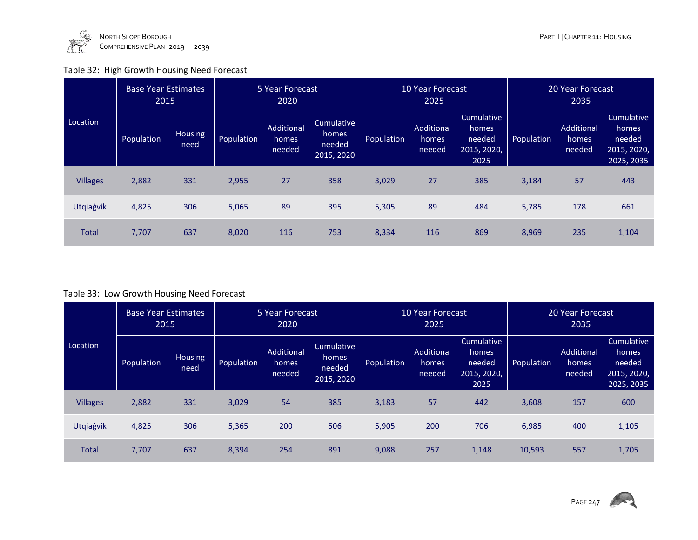

### Table 32: High Growth Housing Need Forecast

| Location        | <b>Base Year Estimates</b><br>2015 |                 | 5 Year Forecast<br>2020 |                               | 10 Year Forecast<br>2025                    |            |                               | 20 Year Forecast<br>2035                             |                   |                                      |                                                            |
|-----------------|------------------------------------|-----------------|-------------------------|-------------------------------|---------------------------------------------|------------|-------------------------------|------------------------------------------------------|-------------------|--------------------------------------|------------------------------------------------------------|
|                 | Population                         | Housing<br>need | Population              | Additional<br>homes<br>needed | Cumulative<br>homes<br>needed<br>2015, 2020 | Population | Additional<br>homes<br>needed | Cumulative<br>homes<br>needed<br>2015, 2020,<br>2025 | <b>Population</b> | <b>Additional</b><br>homes<br>needed | Cumulative<br>homes<br>needed<br>2015, 2020,<br>2025, 2035 |
| <b>Villages</b> | 2,882                              | 331             | 2,955                   | 27                            | 358                                         | 3,029      | 27                            | 385                                                  | 3,184             | 57                                   | 443                                                        |
| Utqiagvik       | 4,825                              | 306             | 5,065                   | 89                            | 395                                         | 5,305      | 89                            | 484                                                  | 5,785             | 178                                  | 661                                                        |
| <b>Total</b>    | 7,707                              | 637             | 8,020                   | 116                           | 753                                         | 8,334      | 116                           | 869                                                  | 8,969             | 235                                  | 1,104                                                      |

### Table 33: Low Growth Housing Need Forecast

| Location        | <b>Base Year Estimates</b><br>2015 |                 | 5 Year Forecast<br>2020 |                               | <b>10 Year Forecast</b><br>2025             |            |                               | 20 Year Forecast<br>2035                              |            |                               |                                                            |
|-----------------|------------------------------------|-----------------|-------------------------|-------------------------------|---------------------------------------------|------------|-------------------------------|-------------------------------------------------------|------------|-------------------------------|------------------------------------------------------------|
|                 | Population                         | Housing<br>need | Population              | Additional<br>homes<br>needed | Cumulative<br>homes<br>needed<br>2015, 2020 | Population | Additional<br>homes<br>needed | Cumulative<br>homes.<br>needed<br>2015, 2020,<br>2025 | Population | Additional<br>homes<br>needed | Cumulative<br>homes<br>needed<br>2015, 2020,<br>2025, 2035 |
| <b>Villages</b> | 2,882                              | 331             | 3,029                   | 54                            | 385                                         | 3,183      | 57                            | 442                                                   | 3,608      | 157                           | 600                                                        |
| Utqiagvik       | 4,825                              | 306             | 5,365                   | 200                           | 506                                         | 5,905      | 200                           | 706                                                   | 6,985      | 400                           | 1,105                                                      |
| <b>Total</b>    | 7,707                              | 637             | 8,394                   | 254                           | 891                                         | 9,088      | 257                           | 1,148                                                 | 10,593     | 557                           | 1,705                                                      |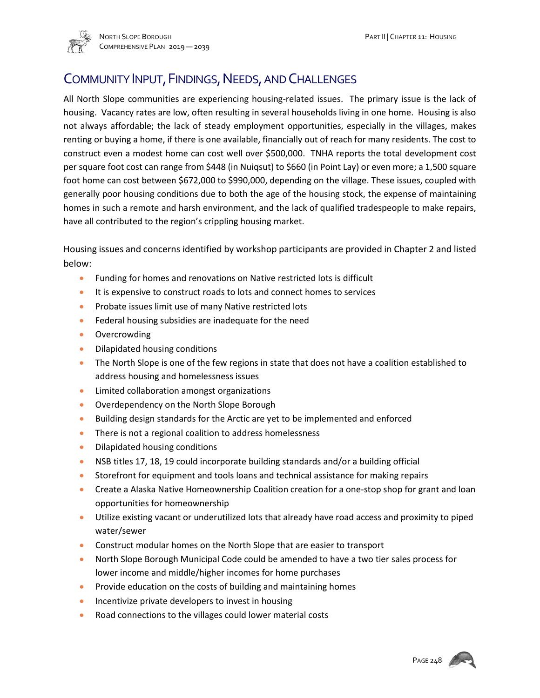# COMMUNITY INPUT, FINDINGS, NEEDS, AND CHALLENGES

All North Slope communities are experiencing housing-related issues. The primary issue is the lack of housing. Vacancy rates are low, often resulting in several households living in one home. Housing is also not always affordable; the lack of steady employment opportunities, especially in the villages, makes renting or buying a home, if there is one available, financially out of reach for many residents. The cost to construct even a modest home can cost well over \$500,000. TNHA reports the total development cost per square foot cost can range from \$448 (in Nuiqsut) to \$660 (in Point Lay) or even more; a 1,500 square foot home can cost between \$672,000 to \$990,000, depending on the village. These issues, coupled with generally poor housing conditions due to both the age of the housing stock, the expense of maintaining homes in such a remote and harsh environment, and the lack of qualified tradespeople to make repairs, have all contributed to the region's crippling housing market.

Housing issues and concerns identified by workshop participants are provided in Chapter 2 and listed below:

- Funding for homes and renovations on Native restricted lots is difficult
- It is expensive to construct roads to lots and connect homes to services
- Probate issues limit use of many Native restricted lots
- Federal housing subsidies are inadequate for the need
- Overcrowding
- Dilapidated housing conditions
- The North Slope is one of the few regions in state that does not have a coalition established to address housing and homelessness issues
- Limited collaboration amongst organizations
- Overdependency on the North Slope Borough
- Building design standards for the Arctic are yet to be implemented and enforced
- There is not a regional coalition to address homelessness
- Dilapidated housing conditions
- NSB titles 17, 18, 19 could incorporate building standards and/or a building official
- Storefront for equipment and tools loans and technical assistance for making repairs
- Create a Alaska Native Homeownership Coalition creation for a one-stop shop for grant and loan opportunities for homeownership
- Utilize existing vacant or underutilized lots that already have road access and proximity to piped water/sewer
- Construct modular homes on the North Slope that are easier to transport
- North Slope Borough Municipal Code could be amended to have a two tier sales process for lower income and middle/higher incomes for home purchases
- Provide education on the costs of building and maintaining homes
- Incentivize private developers to invest in housing
- Road connections to the villages could lower material costs

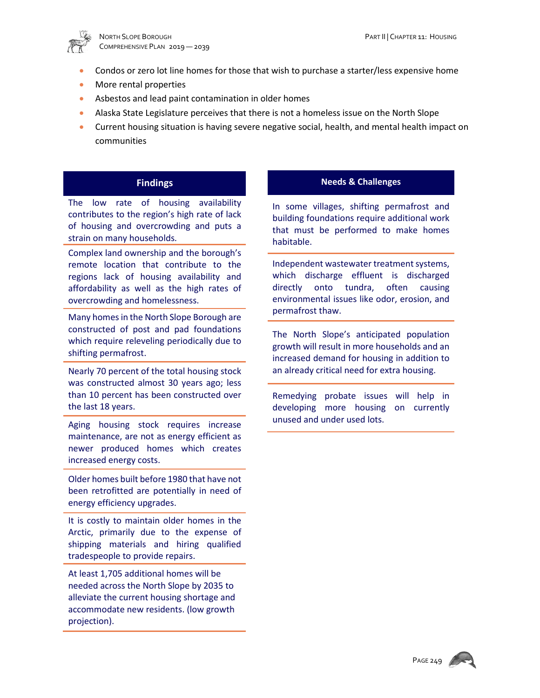

NORTH SLOPE BOROUGH **PART II | CHAPTER 11: HOUSING** COMPREHENSIVE PLAN 2019 — 2039

- Condos or zero lot line homes for those that wish to purchase a starter/less expensive home
- More rental properties
- Asbestos and lead paint contamination in older homes
- Alaska State Legislature perceives that there is not a homeless issue on the North Slope
- Current housing situation is having severe negative social, health, and mental health impact on communities

#### **Findings**

The low rate of housing availability contributes to the region's high rate of lack of housing and overcrowding and puts a strain on many households.

Complex land ownership and the borough's remote location that contribute to the regions lack of housing availability and affordability as well as the high rates of overcrowding and homelessness.

Many homes in the North Slope Borough are constructed of post and pad foundations which require releveling periodically due to shifting permafrost.

Nearly 70 percent of the total housing stock was constructed almost 30 years ago; less than 10 percent has been constructed over the last 18 years.

Aging housing stock requires increase maintenance, are not as energy efficient as newer produced homes which creates increased energy costs.

Older homes built before 1980 that have not been retrofitted are potentially in need of energy efficiency upgrades.

It is costly to maintain older homes in the Arctic, primarily due to the expense of shipping materials and hiring qualified tradespeople to provide repairs.

At least 1,705 additional homes will be needed across the North Slope by 2035 to alleviate the current housing shortage and accommodate new residents. (low growth projection).

#### **Needs & Challenges**

In some villages, shifting permafrost and building foundations require additional work that must be performed to make homes habitable.

Independent wastewater treatment systems, which discharge effluent is discharged directly onto tundra, often causing environmental issues like odor, erosion, and permafrost thaw.

The North Slope's anticipated population growth will result in more households and an increased demand for housing in addition to an already critical need for extra housing.

Remedying probate issues will help in developing more housing on currently unused and under used lots.

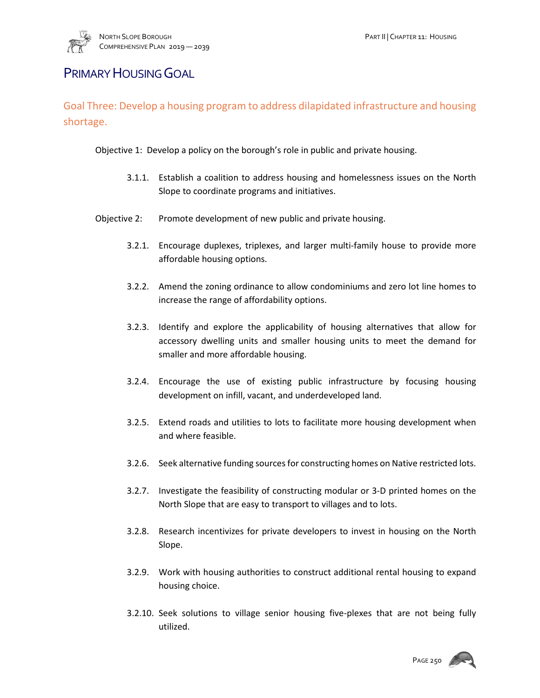## PRIMARY HOUSING GOAL

### Goal Three: Develop a housing program to address dilapidated infrastructure and housing shortage.

Objective 1: Develop a policy on the borough's role in public and private housing.

- 3.1.1. Establish a coalition to address housing and homelessness issues on the North Slope to coordinate programs and initiatives.
- Objective 2: Promote development of new public and private housing.
	- 3.2.1. Encourage duplexes, triplexes, and larger multi-family house to provide more affordable housing options.
	- 3.2.2. Amend the zoning ordinance to allow condominiums and zero lot line homes to increase the range of affordability options.
	- 3.2.3. Identify and explore the applicability of housing alternatives that allow for accessory dwelling units and smaller housing units to meet the demand for smaller and more affordable housing.
	- 3.2.4. Encourage the use of existing public infrastructure by focusing housing development on infill, vacant, and underdeveloped land.
	- 3.2.5. Extend roads and utilities to lots to facilitate more housing development when and where feasible.
	- 3.2.6. Seek alternative funding sources for constructing homes on Native restricted lots.
	- 3.2.7. Investigate the feasibility of constructing modular or 3-D printed homes on the North Slope that are easy to transport to villages and to lots.
	- 3.2.8. Research incentivizes for private developers to invest in housing on the North Slope.
	- 3.2.9. Work with housing authorities to construct additional rental housing to expand housing choice.
	- 3.2.10. Seek solutions to village senior housing five-plexes that are not being fully utilized.